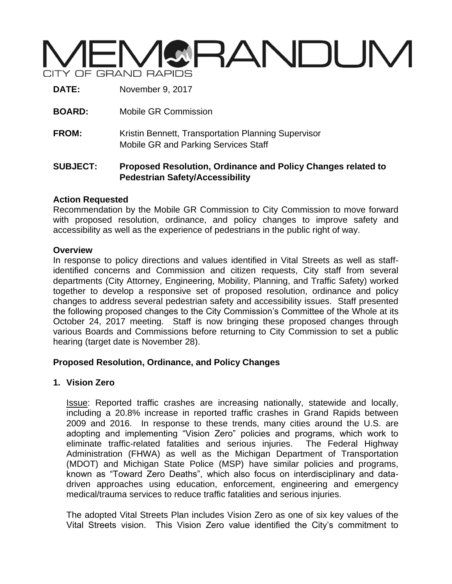# VGRANDUM CITY OF GRAND RAPIDS

**DATE:** November 9, 2017

- **BOARD:** Mobile GR Commission
- **FROM:** Kristin Bennett, Transportation Planning Supervisor Mobile GR and Parking Services Staff

### **SUBJECT: Proposed Resolution, Ordinance and Policy Changes related to Pedestrian Safety/Accessibility**

#### **Action Requested**

Recommendation by the Mobile GR Commission to City Commission to move forward with proposed resolution, ordinance, and policy changes to improve safety and accessibility as well as the experience of pedestrians in the public right of way.

#### **Overview**

In response to policy directions and values identified in Vital Streets as well as staffidentified concerns and Commission and citizen requests, City staff from several departments (City Attorney, Engineering, Mobility, Planning, and Traffic Safety) worked together to develop a responsive set of proposed resolution, ordinance and policy changes to address several pedestrian safety and accessibility issues. Staff presented the following proposed changes to the City Commission's Committee of the Whole at its October 24, 2017 meeting. Staff is now bringing these proposed changes through various Boards and Commissions before returning to City Commission to set a public hearing (target date is November 28).

# **Proposed Resolution, Ordinance, and Policy Changes**

# **1. Vision Zero**

Issue: Reported traffic crashes are increasing nationally, statewide and locally, including a 20.8% increase in reported traffic crashes in Grand Rapids between 2009 and 2016. In response to these trends, many cities around the U.S. are adopting and implementing "Vision Zero" policies and programs, which work to eliminate traffic-related fatalities and serious injuries. The Federal Highway Administration (FHWA) as well as the Michigan Department of Transportation (MDOT) and Michigan State Police (MSP) have similar policies and programs, known as "Toward Zero Deaths", which also focus on interdisciplinary and datadriven approaches using education, enforcement, engineering and emergency medical/trauma services to reduce traffic fatalities and serious injuries.

The adopted Vital Streets Plan includes Vision Zero as one of six key values of the Vital Streets vision. This Vision Zero value identified the City's commitment to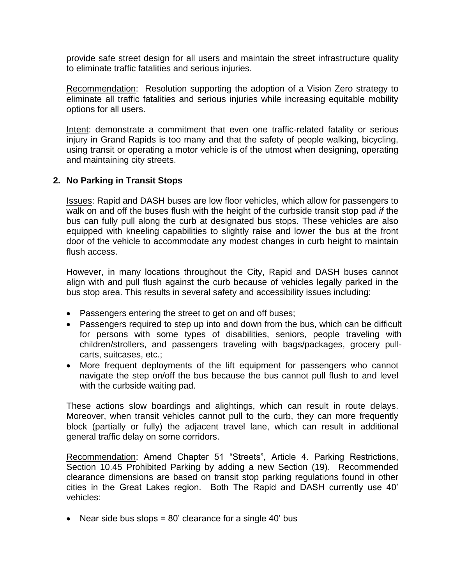provide safe street design for all users and maintain the street infrastructure quality to eliminate traffic fatalities and serious injuries.

Recommendation: Resolution supporting the adoption of a Vision Zero strategy to eliminate all traffic fatalities and serious injuries while increasing equitable mobility options for all users.

Intent: demonstrate a commitment that even one traffic-related fatality or serious injury in Grand Rapids is too many and that the safety of people walking, bicycling, using transit or operating a motor vehicle is of the utmost when designing, operating and maintaining city streets.

#### **2. No Parking in Transit Stops**

Issues: Rapid and DASH buses are low floor vehicles, which allow for passengers to walk on and off the buses flush with the height of the curbside transit stop pad *if* the bus can fully pull along the curb at designated bus stops. These vehicles are also equipped with kneeling capabilities to slightly raise and lower the bus at the front door of the vehicle to accommodate any modest changes in curb height to maintain flush access.

However, in many locations throughout the City, Rapid and DASH buses cannot align with and pull flush against the curb because of vehicles legally parked in the bus stop area. This results in several safety and accessibility issues including:

- Passengers entering the street to get on and off buses;
- Passengers required to step up into and down from the bus, which can be difficult for persons with some types of disabilities, seniors, people traveling with children/strollers, and passengers traveling with bags/packages, grocery pullcarts, suitcases, etc.;
- More frequent deployments of the lift equipment for passengers who cannot navigate the step on/off the bus because the bus cannot pull flush to and level with the curbside waiting pad.

These actions slow boardings and alightings, which can result in route delays. Moreover, when transit vehicles cannot pull to the curb, they can more frequently block (partially or fully) the adjacent travel lane, which can result in additional general traffic delay on some corridors.

Recommendation: Amend Chapter 51 "Streets", Article 4. Parking Restrictions, Section 10.45 Prohibited Parking by adding a new Section (19). Recommended clearance dimensions are based on transit stop parking regulations found in other cities in the Great Lakes region. Both The Rapid and DASH currently use 40' vehicles:

• Near side bus stops =  $80'$  clearance for a single 40' bus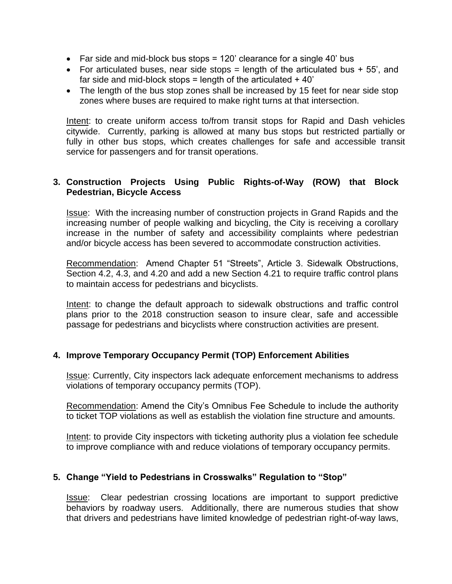- Far side and mid-block bus stops  $= 120'$  clearance for a single 40' bus
- For articulated buses, near side stops  $=$  length of the articulated bus  $+55$ , and far side and mid-block stops = length of the articulated  $+40$ '
- The length of the bus stop zones shall be increased by 15 feet for near side stop zones where buses are required to make right turns at that intersection.

Intent: to create uniform access to/from transit stops for Rapid and Dash vehicles citywide. Currently, parking is allowed at many bus stops but restricted partially or fully in other bus stops, which creates challenges for safe and accessible transit service for passengers and for transit operations.

#### **3. Construction Projects Using Public Rights-of-Way (ROW) that Block Pedestrian, Bicycle Access**

Issue: With the increasing number of construction projects in Grand Rapids and the increasing number of people walking and bicycling, the City is receiving a corollary increase in the number of safety and accessibility complaints where pedestrian and/or bicycle access has been severed to accommodate construction activities.

Recommendation: Amend Chapter 51 "Streets", Article 3. Sidewalk Obstructions, Section 4.2, 4.3, and 4.20 and add a new Section 4.21 to require traffic control plans to maintain access for pedestrians and bicyclists.

Intent: to change the default approach to sidewalk obstructions and traffic control plans prior to the 2018 construction season to insure clear, safe and accessible passage for pedestrians and bicyclists where construction activities are present.

# **4. Improve Temporary Occupancy Permit (TOP) Enforcement Abilities**

Issue: Currently, City inspectors lack adequate enforcement mechanisms to address violations of temporary occupancy permits (TOP).

Recommendation: Amend the City's Omnibus Fee Schedule to include the authority to ticket TOP violations as well as establish the violation fine structure and amounts.

Intent: to provide City inspectors with ticketing authority plus a violation fee schedule to improve compliance with and reduce violations of temporary occupancy permits.

#### **5. Change "Yield to Pedestrians in Crosswalks" Regulation to "Stop"**

Issue: Clear pedestrian crossing locations are important to support predictive behaviors by roadway users. Additionally, there are numerous studies that show that drivers and pedestrians have limited knowledge of pedestrian right-of-way laws,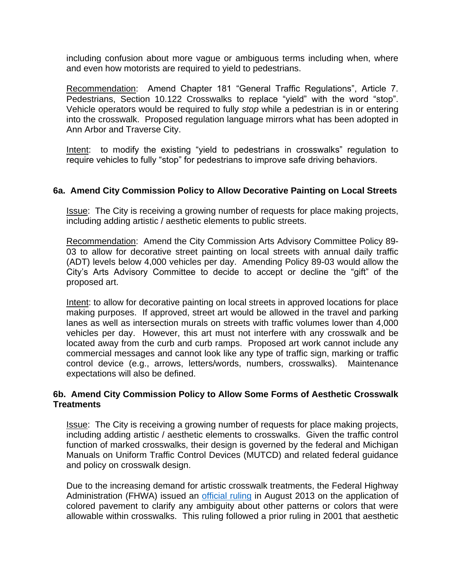including confusion about more vague or ambiguous terms including when, where and even how motorists are required to yield to pedestrians.

Recommendation: Amend Chapter 181 "General Traffic Regulations", Article 7. Pedestrians, Section 10.122 Crosswalks to replace "yield" with the word "stop". Vehicle operators would be required to fully *stop* while a pedestrian is in or entering into the crosswalk. Proposed regulation language mirrors what has been adopted in Ann Arbor and Traverse City.

Intent: to modify the existing "yield to pedestrians in crosswalks" regulation to require vehicles to fully "stop" for pedestrians to improve safe driving behaviors.

#### **6a. Amend City Commission Policy to Allow Decorative Painting on Local Streets**

Issue: The City is receiving a growing number of requests for place making projects, including adding artistic / aesthetic elements to public streets.

Recommendation: Amend the City Commission Arts Advisory Committee Policy 89- 03 to allow for decorative street painting on local streets with annual daily traffic (ADT) levels below 4,000 vehicles per day. Amending Policy 89-03 would allow the City's Arts Advisory Committee to decide to accept or decline the "gift" of the proposed art.

Intent: to allow for decorative painting on local streets in approved locations for place making purposes. If approved, street art would be allowed in the travel and parking lanes as well as intersection murals on streets with traffic volumes lower than 4,000 vehicles per day. However, this art must not interfere with any crosswalk and be located away from the curb and curb ramps. Proposed art work cannot include any commercial messages and cannot look like any type of traffic sign, marking or traffic control device (e.g., arrows, letters/words, numbers, crosswalks). Maintenance expectations will also be defined.

#### **6b. Amend City Commission Policy to Allow Some Forms of Aesthetic Crosswalk Treatments**

Issue: The City is receiving a growing number of requests for place making projects, including adding artistic / aesthetic elements to crosswalks. Given the traffic control function of marked crosswalks, their design is governed by the federal and Michigan Manuals on Uniform Traffic Control Devices (MUTCD) and related federal guidance and policy on crosswalk design.

Due to the increasing demand for artistic crosswalk treatments, the Federal Highway Administration (FHWA) issued an [official ruling](https://mutcd.fhwa.dot.gov/resources/interpretations/3_09_24.htm) in August 2013 on the application of colored pavement to clarify any ambiguity about other patterns or colors that were allowable within crosswalks. This ruling followed a prior ruling in 2001 that aesthetic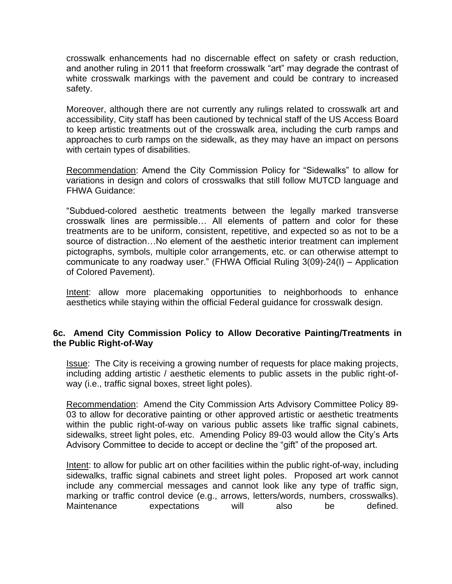crosswalk enhancements had no discernable effect on safety or crash reduction, and another ruling in 2011 that freeform crosswalk "art" may degrade the contrast of white crosswalk markings with the pavement and could be contrary to increased safety.

Moreover, although there are not currently any rulings related to crosswalk art and accessibility, City staff has been cautioned by technical staff of the US Access Board to keep artistic treatments out of the crosswalk area, including the curb ramps and approaches to curb ramps on the sidewalk, as they may have an impact on persons with certain types of disabilities.

Recommendation: Amend the City Commission Policy for "Sidewalks" to allow for variations in design and colors of crosswalks that still follow MUTCD language and FHWA Guidance:

"Subdued-colored aesthetic treatments between the legally marked transverse crosswalk lines are permissible… All elements of pattern and color for these treatments are to be uniform, consistent, repetitive, and expected so as not to be a source of distraction…No element of the aesthetic interior treatment can implement pictographs, symbols, multiple color arrangements, etc. or can otherwise attempt to communicate to any roadway user." (FHWA Official Ruling 3(09)-24(I) – Application of Colored Pavement).

Intent: allow more placemaking opportunities to neighborhoods to enhance aesthetics while staying within the official Federal guidance for crosswalk design.

#### **6c. Amend City Commission Policy to Allow Decorative Painting/Treatments in the Public Right-of-Way**

Issue: The City is receiving a growing number of requests for place making projects, including adding artistic / aesthetic elements to public assets in the public right-ofway (i.e., traffic signal boxes, street light poles).

Recommendation: Amend the City Commission Arts Advisory Committee Policy 89- 03 to allow for decorative painting or other approved artistic or aesthetic treatments within the public right-of-way on various public assets like traffic signal cabinets, sidewalks, street light poles, etc. Amending Policy 89-03 would allow the City's Arts Advisory Committee to decide to accept or decline the "gift" of the proposed art.

Intent: to allow for public art on other facilities within the public right-of-way, including sidewalks, traffic signal cabinets and street light poles. Proposed art work cannot include any commercial messages and cannot look like any type of traffic sign, marking or traffic control device (e.g., arrows, letters/words, numbers, crosswalks).<br>Maintenance expectations will also be defined. expectations will also be defined.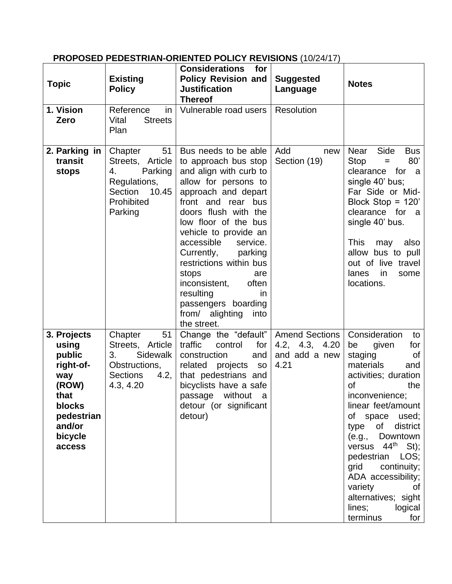# **PROPOSED PEDESTRIAN-ORIENTED POLICY REVISIONS** (10/24/17)

| <b>Topic</b>                                                                                                               | <b>Existing</b><br><b>Policy</b>                                                                                | <b>Considerations</b><br>for<br><b>Policy Revision and</b><br><b>Justification</b><br><b>Thereof</b>                                                                                                                                                                                                                                                                                                                           | <b>Suggested</b><br>Language                                     | <b>Notes</b>                                                                                                                                                                                                                                                                                                                                                                                                  |
|----------------------------------------------------------------------------------------------------------------------------|-----------------------------------------------------------------------------------------------------------------|--------------------------------------------------------------------------------------------------------------------------------------------------------------------------------------------------------------------------------------------------------------------------------------------------------------------------------------------------------------------------------------------------------------------------------|------------------------------------------------------------------|---------------------------------------------------------------------------------------------------------------------------------------------------------------------------------------------------------------------------------------------------------------------------------------------------------------------------------------------------------------------------------------------------------------|
| 1. Vision<br>Zero                                                                                                          | Reference<br>in<br><b>Streets</b><br>Vital<br>Plan                                                              | Vulnerable road users                                                                                                                                                                                                                                                                                                                                                                                                          | Resolution                                                       |                                                                                                                                                                                                                                                                                                                                                                                                               |
| 2. Parking in<br>transit<br>stops                                                                                          | 51<br>Chapter<br>Streets, Article<br>4.<br>Parking<br>Regulations,<br>Section<br>10.45<br>Prohibited<br>Parking | Bus needs to be able<br>to approach bus stop<br>and align with curb to<br>allow for persons to<br>approach and depart<br>front and rear bus<br>doors flush with the<br>low floor of the bus<br>vehicle to provide an<br>accessible<br>service.<br>Currently,<br>parking<br>restrictions within bus<br>stops<br>are<br>inconsistent,<br>often<br>resulting<br>in.<br>passengers boarding<br>from/ alighting into<br>the street. | Add<br>new<br>Section (19)                                       | Side<br>Near<br><b>Bus</b><br>80'<br>Stop<br>Ξ<br>clearance<br>for<br>a a<br>single 40' bus;<br>Far Side or Mid-<br>Block Stop = $120'$<br>clearance for<br>a a<br>single 40' bus.<br><b>This</b><br>may<br>also<br>allow bus to pull<br>out of live travel<br>lanes<br>in<br>some<br>locations.                                                                                                              |
| 3. Projects<br>using<br>public<br>right-of-<br>way<br>(ROW)<br>that<br>blocks<br>pedestrian<br>and/or<br>bicycle<br>access | Chapter<br>51<br>Streets, Article<br>Sidewalk<br>3.<br>Obstructions,<br>4.2,<br><b>Sections</b><br>4.3, 4.20    | Change the "default"<br>traffic<br>for<br>control<br>construction<br>and<br>related projects<br><b>SO</b><br>that pedestrians and<br>bicyclists have a safe<br>passage<br>without<br>- a<br>detour (or significant<br>detour)                                                                                                                                                                                                  | <b>Amend Sections</b><br>4.2, 4.3, 4.20<br>and add a new<br>4.21 | Consideration<br>to<br>given<br>for<br>be<br>staging<br>of<br>materials<br>and<br>activities; duration<br>of<br>the<br>inconvenience;<br>linear feet/amount<br>of space used;<br>of district<br>type<br>(e.g.,<br>Downtown<br>versus 44 <sup>th</sup> St);<br>LOS;<br>pedestrian<br>continuity;<br>grid<br>ADA accessibility;<br>variety<br>οf<br>alternatives; sight<br>lines;<br>logical<br>terminus<br>for |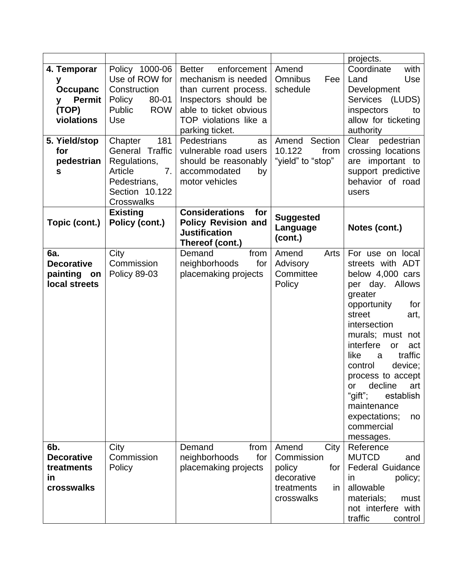|                                                                                                                                        |                                                                                                                                                                                                                                             |                                                                                                                                                                                                                                                                                                                           |                                                                                              | projects.                                                                                                                                                                                                                                                                                                                                                                           |  |
|----------------------------------------------------------------------------------------------------------------------------------------|---------------------------------------------------------------------------------------------------------------------------------------------------------------------------------------------------------------------------------------------|---------------------------------------------------------------------------------------------------------------------------------------------------------------------------------------------------------------------------------------------------------------------------------------------------------------------------|----------------------------------------------------------------------------------------------|-------------------------------------------------------------------------------------------------------------------------------------------------------------------------------------------------------------------------------------------------------------------------------------------------------------------------------------------------------------------------------------|--|
| 4. Temporar<br>у<br><b>Occupanc</b><br><b>Permit</b><br>y<br>(TOP)<br>violations<br>5. Yield/stop<br>for<br>pedestrian<br>$\mathbf{s}$ | Policy 1000-06<br>Use of ROW for<br>Construction<br>80-01<br>Policy<br><b>ROW</b><br>Public<br>Use<br>181<br>Chapter<br>General Traffic<br>Regulations,<br>7 <sub>1</sub><br>Article<br>Pedestrians,<br>Section 10.122<br><b>Crosswalks</b> | enforcement   Amend<br><b>Better</b><br>mechanism is needed<br>than current process.<br>Inspectors should be<br>able to ticket obvious<br>TOP violations like a<br>parking ticket.<br>Pedestrians<br>as<br>vulnerable road users<br>should be reasonably<br>accommodated<br>by<br>motor vehicles<br><b>Considerations</b> | <b>Omnibus</b><br>Fee<br>schedule<br>Section<br>Amend<br>10.122<br>from<br>"yield" to "stop" | Coordinate<br>with<br>Use<br>Land<br>Development<br>Services (LUDS)<br>inspectors<br>to<br>allow for ticketing<br>authority<br>Clear<br>pedestrian<br>crossing locations<br>are important to<br>support predictive<br>behavior of road<br>users                                                                                                                                     |  |
| Topic (cont.)                                                                                                                          | <b>Existing</b><br>Policy (cont.)                                                                                                                                                                                                           | for<br><b>Policy Revision and</b><br><b>Justification</b><br>Thereof (cont.)                                                                                                                                                                                                                                              | <b>Suggested</b><br>Language<br>(cont.)                                                      | Notes (cont.)                                                                                                                                                                                                                                                                                                                                                                       |  |
| 6a.<br><b>Decorative</b><br>painting<br>on<br>local streets                                                                            | City<br>Commission<br><b>Policy 89-03</b>                                                                                                                                                                                                   | from<br>Demand<br>neighborhoods<br>for<br>placemaking projects                                                                                                                                                                                                                                                            | Amend<br>Arts<br>Advisory<br>Committee<br>Policy                                             | For use on local<br>streets with ADT<br>below 4,000 cars<br>Allows<br>per day.<br>greater<br>opportunity<br>for<br>street<br>art,<br>intersection<br>murals; must not<br>interfere<br>or<br>act<br>traffic<br>like<br>a<br>device;<br>control<br>process to accept<br>decline<br>or<br>art<br>"gift";<br>establish<br>maintenance<br>expectations;<br>no<br>commercial<br>messages. |  |
| 6b.<br><b>Decorative</b><br>treatments<br>in<br>crosswalks                                                                             | City<br>Commission<br>Policy                                                                                                                                                                                                                | Demand<br>from<br>neighborhoods<br>for<br>placemaking projects                                                                                                                                                                                                                                                            | Amend<br>City<br>Commission<br>policy<br>for<br>decorative<br>treatments<br>in<br>crosswalks | Reference<br><b>MUTCD</b><br>and<br><b>Federal Guidance</b><br>policy;<br>in<br>allowable<br>materials;<br>must<br>not interfere with<br>traffic<br>control                                                                                                                                                                                                                         |  |